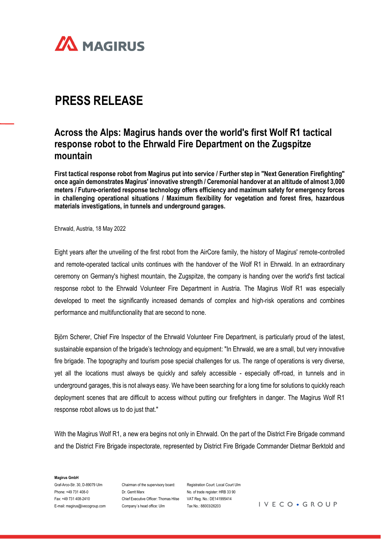

# **PRESS RELEASE**

## **Across the Alps: Magirus hands over the world's first Wolf R1 tactical response robot to the Ehrwald Fire Department on the Zugspitze mountain**

**First tactical response robot from Magirus put into service / Further step in "Next Generation Firefighting" once again demonstrates Magirus' innovative strength / Ceremonial handover at an altitude of almost 3,000 meters / Future-oriented response technology offers efficiency and maximum safety for emergency forces in challenging operational situations / Maximum flexibility for vegetation and forest fires, hazardous materials investigations, in tunnels and underground garages.**

Ehrwald, Austria, 18 May 2022

Eight years after the unveiling of the first robot from the AirCore family, the history of Magirus' remote-controlled and remote-operated tactical units continues with the handover of the Wolf R1 in Ehrwald. In an extraordinary ceremony on Germany's highest mountain, the Zugspitze, the company is handing over the world's first tactical response robot to the Ehrwald Volunteer Fire Department in Austria. The Magirus Wolf R1 was especially developed to meet the significantly increased demands of complex and high-risk operations and combines performance and multifunctionality that are second to none.

Björn Scherer, Chief Fire Inspector of the Ehrwald Volunteer Fire Department, is particularly proud of the latest, sustainable expansion of the brigade's technology and equipment: "In Ehrwald, we are a small, but very innovative fire brigade. The topography and tourism pose special challenges for us. The range of operations is very diverse, yet all the locations must always be quickly and safely accessible - especially off-road, in tunnels and in underground garages, this is not always easy. We have been searching for a long time for solutions to quickly reach deployment scenes that are difficult to access without putting our firefighters in danger. The Magirus Wolf R1 response robot allows us to do just that."

With the Magirus Wolf R1, a new era begins not only in Ehrwald. On the part of the District Fire Brigade command and the District Fire Brigade inspectorate, represented by District Fire Brigade Commander Dietmar Berktold and

#### **Magirus GmbH**

Graf-Arco-Str. 30, D-89079 Ulm Phone: +49 731 408-0 Fax: +49 731 408-2410 E-mail: magirus@ivecogroup.com

Chairman of the supervisory board: Dr. Gerrit Marx Chief Executive Officer: Thomas Hilse VAT Reg. No.: DE141995414 Company´s head office: Ulm

Registration Court: Local Court Ulm No. of trade register: HRB 33 90 Tax No.: 88003/26203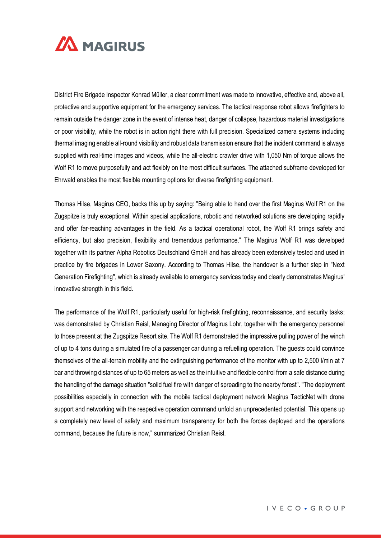

District Fire Brigade Inspector Konrad Müller, a clear commitment was made to innovative, effective and, above all, protective and supportive equipment for the emergency services. The tactical response robot allows firefighters to remain outside the danger zone in the event of intense heat, danger of collapse, hazardous material investigations or poor visibility, while the robot is in action right there with full precision. Specialized camera systems including thermal imaging enable all-round visibility and robust data transmission ensure that the incident command is always supplied with real-time images and videos, while the all-electric crawler drive with 1,050 Nm of torque allows the Wolf R1 to move purposefully and act flexibly on the most difficult surfaces. The attached subframe developed for Ehrwald enables the most flexible mounting options for diverse firefighting equipment.

Thomas Hilse, Magirus CEO, backs this up by saying: "Being able to hand over the first Magirus Wolf R1 on the Zugspitze is truly exceptional. Within special applications, robotic and networked solutions are developing rapidly and offer far-reaching advantages in the field. As a tactical operational robot, the Wolf R1 brings safety and efficiency, but also precision, flexibility and tremendous performance." The Magirus Wolf R1 was developed together with its partner Alpha Robotics Deutschland GmbH and has already been extensively tested and used in practice by fire brigades in Lower Saxony. According to Thomas Hilse, the handover is a further step in "Next Generation Firefighting", which is already available to emergency services today and clearly demonstrates Magirus' innovative strength in this field.

The performance of the Wolf R1, particularly useful for high-risk firefighting, reconnaissance, and security tasks; was demonstrated by Christian Reisl, Managing Director of Magirus Lohr, together with the emergency personnel to those present at the Zugspitze Resort site. The Wolf R1 demonstrated the impressive pulling power of the winch of up to 4 tons during a simulated fire of a passenger car during a refuelling operation. The guests could convince themselves of the all-terrain mobility and the extinguishing performance of the monitor with up to 2,500 l/min at 7 bar and throwing distances of up to 65 meters as well as the intuitive and flexible control from a safe distance during the handling of the damage situation "solid fuel fire with danger of spreading to the nearby forest". "The deployment possibilities especially in connection with the mobile tactical deployment network Magirus TacticNet with drone support and networking with the respective operation command unfold an unprecedented potential. This opens up a completely new level of safety and maximum transparency for both the forces deployed and the operations command, because the future is now," summarized Christian Reisl.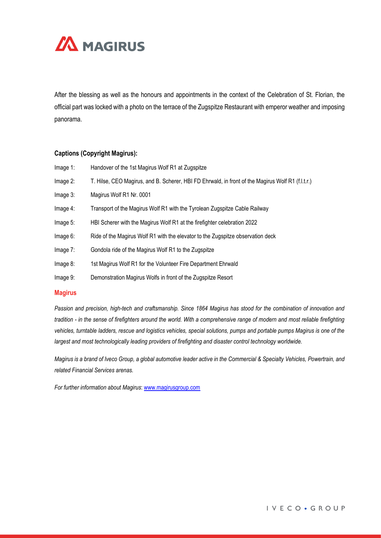

After the blessing as well as the honours and appointments in the context of the Celebration of St. Florian, the official part was locked with a photo on the terrace of the Zugspitze Restaurant with emperor weather and imposing panorama.

### **Captions (Copyright Magirus):**

| Image 1: | Handover of the 1st Magirus Wolf R1 at Zugspitze                                                  |
|----------|---------------------------------------------------------------------------------------------------|
| Image 2: | T. Hilse, CEO Magirus, and B. Scherer, HBI FD Ehrwald, in front of the Magirus Wolf R1 (f.l.t.r.) |
| Image 3: | Magirus Wolf R1 Nr. 0001                                                                          |
| Image 4: | Transport of the Magirus Wolf R1 with the Tyrolean Zugspitze Cable Railway                        |
| Image 5: | HBI Scherer with the Magirus Wolf R1 at the firefighter celebration 2022                          |
| Image 6: | Ride of the Magirus Wolf R1 with the elevator to the Zugspitze observation deck                   |
| Image 7: | Gondola ride of the Magirus Wolf R1 to the Zugspitze                                              |
| Image 8: | 1st Magirus Wolf R1 for the Volunteer Fire Department Ehrwald                                     |
| Image 9: | Demonstration Magirus Wolfs in front of the Zugspitze Resort                                      |
|          |                                                                                                   |

#### **Magirus**

*Passion and precision, high-tech and craftsmanship. Since 1864 Magirus has stood for the combination of innovation and tradition - in the sense of firefighters around the world. With a comprehensive range of modern and most reliable firefighting vehicles, turntable ladders, rescue and logistics vehicles, special solutions, pumps and portable pumps Magirus is one of the largest and most technologically leading providers of firefighting and disaster control technology worldwide.*

*Magirus is a brand of Iveco Group, a global automotive leader active in the Commercial & Specialty Vehicles, Powertrain, and related Financial Services arenas.*

*For further information about Magirus*: [www.magirusgroup.com](http://www.magirusgroup.com/)